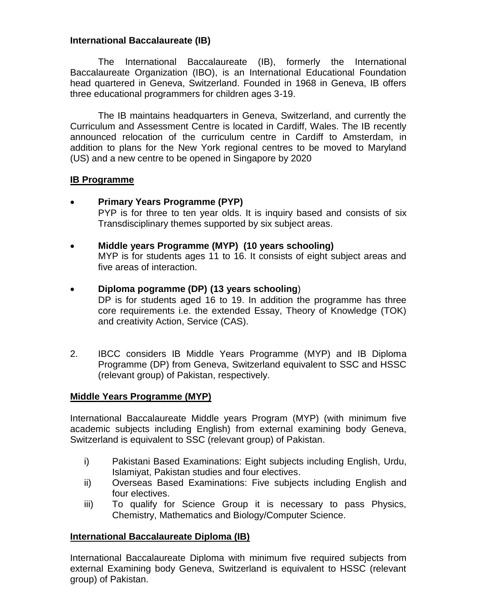## **International Baccalaureate (IB)**

The International Baccalaureate (IB), formerly the International Baccalaureate Organization (IBO), is an International Educational Foundation head quartered in Geneva, Switzerland. Founded in 1968 in Geneva, IB offers three educational programmers for children ages 3-19.

The IB maintains headquarters in Geneva, Switzerland, and currently the Curriculum and Assessment Centre is located in Cardiff, Wales. The IB recently announced relocation of the curriculum centre in Cardiff to Amsterdam, in addition to plans for the New York regional centres to be moved to Maryland (US) and a new centre to be opened in Singapore by 2020

#### **IB Programme**

- **Primary Years Programme (PYP)** PYP is for three to ten year olds. It is inquiry based and consists of six Transdisciplinary themes supported by six subject areas.
- **Middle years Programme (MYP) (10 years schooling)** MYP is for students ages 11 to 16. It consists of eight subject areas and five areas of interaction.
- **Diploma pogramme (DP) (13 years schooling**)
	- DP is for students aged 16 to 19. In addition the programme has three core requirements i.e. the extended Essay, Theory of Knowledge (TOK) and creativity Action, Service (CAS).
- 2. IBCC considers IB Middle Years Programme (MYP) and IB Diploma Programme (DP) from Geneva, Switzerland equivalent to SSC and HSSC (relevant group) of Pakistan, respectively.

# **Middle Years Programme (MYP)**

International Baccalaureate Middle years Program (MYP) (with minimum five academic subjects including English) from external examining body Geneva, Switzerland is equivalent to SSC (relevant group) of Pakistan.

- i) Pakistani Based Examinations: Eight subjects including English, Urdu, Islamiyat, Pakistan studies and four electives.
- ii) Overseas Based Examinations: Five subjects including English and four electives.
- iii) To qualify for Science Group it is necessary to pass Physics, Chemistry, Mathematics and Biology/Computer Science.

# **International Baccalaureate Diploma (IB)**

International Baccalaureate Diploma with minimum five required subjects from external Examining body Geneva, Switzerland is equivalent to HSSC (relevant group) of Pakistan.